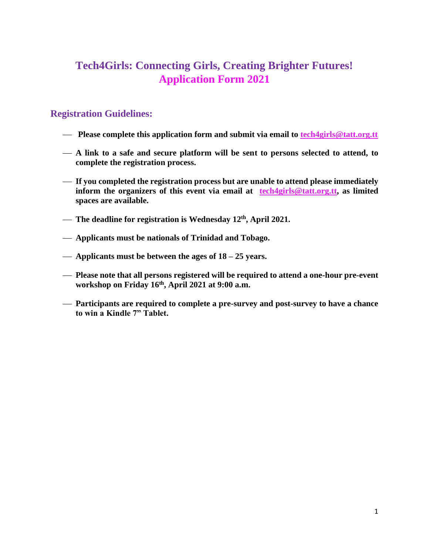## **Tech4Girls: Connecting Girls, Creating Brighter Futures! Application Form 2021**

## **Registration Guidelines:**

- ⎯ **Please complete this application form and submit via email to [tech4girls@tatt.org.tt](mailto:tech4girls@tatt.org.tt)**
- ⎯ **A link to a safe and secure platform will be sent to persons selected to attend, to complete the registration process.**
- ⎯ **If you completed the registration process but are unable to attend please immediately inform the organizers of this event via email at [tech4girls@tatt.org.tt,](mailto:tech4girls@tatt.org.tt) as limited spaces are available.**
- $-$  The deadline for registration is Wednesday 12<sup>th</sup>, April 2021.
- ⎯ **Applicants must be nationals of Trinidad and Tobago.**
- ⎯ **Applicants must be between the ages of 18 – 25 years.**
- ⎯ **Please note that all persons registered will be required to attend a one-hour pre-event workshop on Friday 16th, April 2021 at 9:00 a.m.**
- ⎯ **Participants are required to complete a pre-survey and post-survey to have a chance to win a Kindle 7" Tablet.**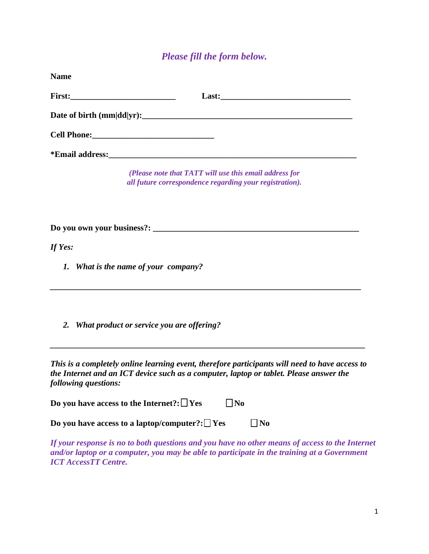## *Please fill the form below.*

| <b>Name</b> |                                                                                                                                                                                                                  |
|-------------|------------------------------------------------------------------------------------------------------------------------------------------------------------------------------------------------------------------|
|             |                                                                                                                                                                                                                  |
|             |                                                                                                                                                                                                                  |
|             |                                                                                                                                                                                                                  |
|             |                                                                                                                                                                                                                  |
|             | (Please note that TATT will use this email address for<br>all future correspondence regarding your registration).                                                                                                |
|             |                                                                                                                                                                                                                  |
| If Yes:     |                                                                                                                                                                                                                  |
|             | 1. What is the name of your company?                                                                                                                                                                             |
| 2.          | <b>What product or service you are offering?</b>                                                                                                                                                                 |
|             | This is a completely online learning event, therefore participants will need to have access to<br>the Internet and an ICT device such as a computer, laptop or tablet. Please answer the<br>following questions: |
|             | Do you have access to the Internet?: $\Box$ Yes<br>$\Box$ No                                                                                                                                                     |
|             | Do you have access to a laptop/computer?: $\Box$ Yes<br>$\Box$ No                                                                                                                                                |

*If your response is no to both questions and you have no other means of access to the Internet and/or laptop or a computer, you may be able to participate in the training at a Government ICT AccessTT Centre.*